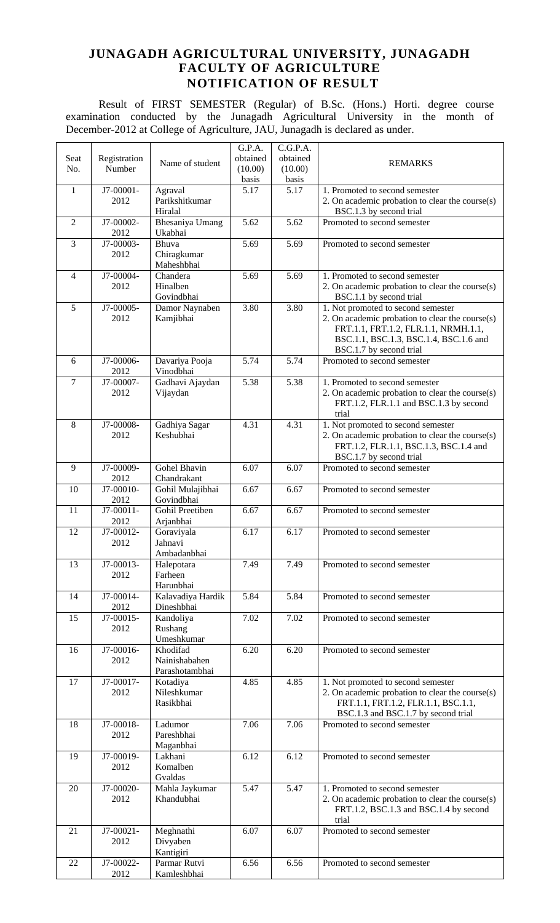## **JUNAGADH AGRICULTURAL UNIVERSITY, JUNAGADH FACULTY OF AGRICULTURE NOTIFICATION OF RESULT**

Result of FIRST SEMESTER (Regular) of B.Sc. (Hons.) Horti. degree course examination conducted by the Junagadh Agricultural University in the month of December-2012 at College of Agriculture, JAU, Junagadh is declared as under.

|                |              |                   | G.P.A.   | C.G.P.A. |                                                 |
|----------------|--------------|-------------------|----------|----------|-------------------------------------------------|
| Seat           | Registration | Name of student   | obtained | obtained | <b>REMARKS</b>                                  |
| No.            | Number       |                   | (10.00)  | (10.00)  |                                                 |
|                |              |                   | basis    | basis    |                                                 |
| $\mathbf{1}$   | J7-00001-    | Agraval           | 5.17     | 5.17     | 1. Promoted to second semester                  |
|                | 2012         | Parikshitkumar    |          |          | 2. On academic probation to clear the course(s) |
|                |              | Hiralal           |          |          | BSC.1.3 by second trial                         |
| $\overline{2}$ | J7-00002-    | Bhesaniya Umang   | 5.62     | 5.62     | Promoted to second semester                     |
|                | 2012         | Ukabhai           |          |          |                                                 |
| $\mathfrak{Z}$ | J7-00003-    | Bhuva             | 5.69     | 5.69     | Promoted to second semester                     |
|                | 2012         | Chiragkumar       |          |          |                                                 |
|                |              | Maheshbhai        |          |          |                                                 |
| $\overline{4}$ | J7-00004-    | Chandera          | 5.69     | 5.69     | 1. Promoted to second semester                  |
|                |              |                   |          |          |                                                 |
|                | 2012         | Hinalben          |          |          | 2. On academic probation to clear the course(s) |
|                |              | Govindbhai        |          |          | BSC.1.1 by second trial                         |
| 5              | J7-00005-    | Damor Naynaben    | 3.80     | 3.80     | 1. Not promoted to second semester              |
|                | 2012         | Kamjibhai         |          |          | 2. On academic probation to clear the course(s) |
|                |              |                   |          |          | FRT.1.1, FRT.1.2, FLR.1.1, NRMH.1.1,            |
|                |              |                   |          |          | BSC.1.1, BSC.1.3, BSC.1.4, BSC.1.6 and          |
|                |              |                   |          |          | BSC.1.7 by second trial                         |
| 6              | J7-00006-    | Davariya Pooja    | 5.74     | 5.74     | Promoted to second semester                     |
|                | 2012         | Vinodbhai         |          |          |                                                 |
| $\overline{7}$ | J7-00007-    | Gadhavi Ajaydan   | 5.38     | 5.38     | 1. Promoted to second semester                  |
|                | 2012         | Vijaydan          |          |          | 2. On academic probation to clear the course(s) |
|                |              |                   |          |          | FRT.1.2, FLR.1.1 and BSC.1.3 by second          |
|                |              |                   |          |          | trial                                           |
| 8              | J7-00008-    | Gadhiya Sagar     | 4.31     | 4.31     | 1. Not promoted to second semester              |
|                | 2012         | Keshubhai         |          |          |                                                 |
|                |              |                   |          |          | 2. On academic probation to clear the course(s) |
|                |              |                   |          |          | FRT.1.2, FLR.1.1, BSC.1.3, BSC.1.4 and          |
|                |              |                   |          |          | BSC.1.7 by second trial                         |
| 9              | J7-00009-    | Gohel Bhavin      | 6.07     | 6.07     | Promoted to second semester                     |
|                | 2012         | Chandrakant       |          |          |                                                 |
| 10             | J7-00010-    | Gohil Mulajibhai  | 6.67     | 6.67     | Promoted to second semester                     |
|                | 2012         | Govindbhai        |          |          |                                                 |
| 11             | J7-00011-    | Gohil Preetiben   | 6.67     | 6.67     | Promoted to second semester                     |
|                | 2012         | Arjanbhai         |          |          |                                                 |
| 12             | J7-00012-    | Goraviyala        | 6.17     | 6.17     | Promoted to second semester                     |
|                | 2012         | Jahnavi           |          |          |                                                 |
|                |              | Ambadanbhai       |          |          |                                                 |
| 13             | J7-00013-    | Halepotara        | 7.49     | 7.49     | Promoted to second semester                     |
|                | 2012         | Farheen           |          |          |                                                 |
|                |              | Harunbhai         |          |          |                                                 |
| 14             | J7-00014-    | Kalavadiya Hardik | 5.84     | 5.84     | Promoted to second semester                     |
|                | 2012         | Dineshbhai        |          |          |                                                 |
| 15             | J7-00015-    | Kandoliya         | 7.02     | 7.02     | Promoted to second semester                     |
|                |              |                   |          |          |                                                 |
|                | 2012         | Rushang           |          |          |                                                 |
|                |              | Umeshkumar        |          |          |                                                 |
| 16             | J7-00016-    | Khodifad          | 6.20     | 6.20     | Promoted to second semester                     |
|                | 2012         | Nainishabahen     |          |          |                                                 |
|                |              | Parashotambhai    |          |          |                                                 |
| 17             | J7-00017-    | Kotadiya          | 4.85     | 4.85     | 1. Not promoted to second semester              |
|                | 2012         | Nileshkumar       |          |          | 2. On academic probation to clear the course(s) |
|                |              | Rasikbhai         |          |          | FRT.1.1, FRT.1.2, FLR.1.1, BSC.1.1,             |
|                |              |                   |          |          | BSC.1.3 and BSC.1.7 by second trial             |
| 18             | J7-00018-    | Ladumor           | 7.06     | 7.06     | Promoted to second semester                     |
|                | 2012         | Pareshbhai        |          |          |                                                 |
|                |              | Maganbhai         |          |          |                                                 |
| 19             | J7-00019-    | Lakhani           | 6.12     | 6.12     | Promoted to second semester                     |
|                | 2012         | Komalben          |          |          |                                                 |
|                |              | Gvaldas           |          |          |                                                 |
|                |              |                   |          |          |                                                 |
| 20             | J7-00020-    | Mahla Jaykumar    | 5.47     | 5.47     | 1. Promoted to second semester                  |
|                | 2012         | Khandubhai        |          |          | 2. On academic probation to clear the course(s) |
|                |              |                   |          |          | FRT.1.2, BSC.1.3 and BSC.1.4 by second          |
|                |              |                   |          |          | trial                                           |
| 21             | J7-00021-    | Meghnathi         | 6.07     | 6.07     | Promoted to second semester                     |
|                | 2012         | Divyaben          |          |          |                                                 |
|                |              | Kantigiri         |          |          |                                                 |
| 22             | J7-00022-    | Parmar Rutvi      | 6.56     | 6.56     | Promoted to second semester                     |
|                | 2012         | Kamleshbhai       |          |          |                                                 |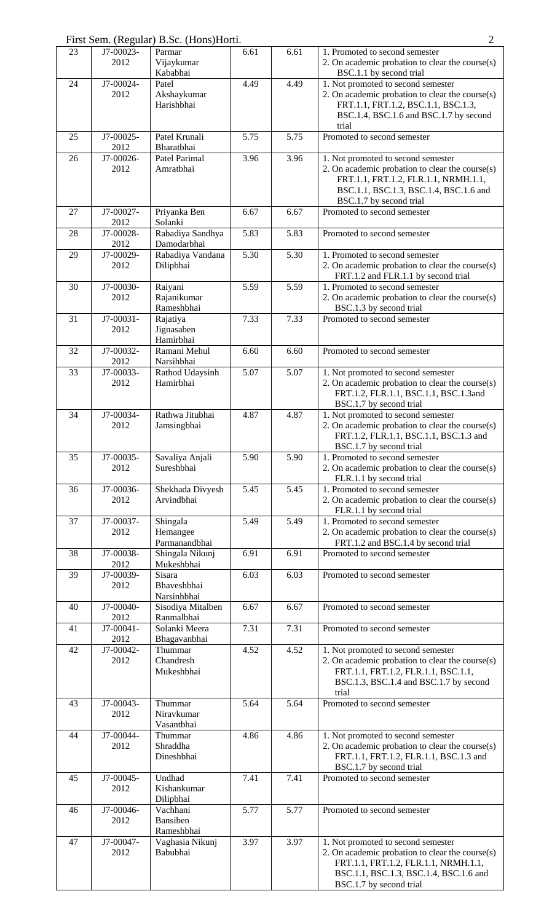| First Sem. (Regular) B.Sc. (Hons)Horti. |  |  |  |  |  |
|-----------------------------------------|--|--|--|--|--|
|                                         |  |  |  |  |  |

| 23 | J7-00023-<br>2012 | Parmar<br>Vijaykumar             | 6.61 | 6.61 | 1. Promoted to second semester<br>2. On academic probation to clear the course(s)         |
|----|-------------------|----------------------------------|------|------|-------------------------------------------------------------------------------------------|
|    |                   | Kababhai                         |      |      | BSC.1.1 by second trial                                                                   |
| 24 | J7-00024-<br>2012 | Patel<br>Akshaykumar             | 4.49 | 4.49 | 1. Not promoted to second semester<br>2. On academic probation to clear the course(s)     |
|    |                   | Harishbhai                       |      |      | FRT.1.1, FRT.1.2, BSC.1.1, BSC.1.3,                                                       |
|    |                   |                                  |      |      | BSC.1.4, BSC.1.6 and BSC.1.7 by second                                                    |
|    |                   |                                  |      |      | trial                                                                                     |
| 25 | J7-00025-         | Patel Krunali                    | 5.75 | 5.75 | Promoted to second semester                                                               |
|    | 2012              | Bharatbhai                       |      |      |                                                                                           |
| 26 | J7-00026-<br>2012 | Patel Parimal<br>Amratbhai       | 3.96 | 3.96 | 1. Not promoted to second semester<br>2. On academic probation to clear the course(s)     |
|    |                   |                                  |      |      | FRT.1.1, FRT.1.2, FLR.1.1, NRMH.1.1,                                                      |
|    |                   |                                  |      |      | BSC.1.1, BSC.1.3, BSC.1.4, BSC.1.6 and                                                    |
|    |                   |                                  |      |      | BSC.1.7 by second trial                                                                   |
| 27 | J7-00027-         | Priyanka Ben                     | 6.67 | 6.67 | Promoted to second semester                                                               |
| 28 | 2012<br>J7-00028- | Solanki<br>Rabadiya Sandhya      | 5.83 | 5.83 | Promoted to second semester                                                               |
|    | 2012              | Damodarbhai                      |      |      |                                                                                           |
| 29 | J7-00029-         | Rabadiya Vandana                 | 5.30 | 5.30 | 1. Promoted to second semester                                                            |
|    | 2012              | Dilipbhai                        |      |      | 2. On academic probation to clear the course(s)                                           |
|    |                   |                                  |      |      | FRT.1.2 and FLR.1.1 by second trial                                                       |
| 30 | J7-00030-         | Raiyani<br>Rajanikumar           | 5.59 | 5.59 | 1. Promoted to second semester                                                            |
|    | 2012              | Rameshbhai                       |      |      | 2. On academic probation to clear the course(s)<br>BSC.1.3 by second trial                |
| 31 | J7-00031-         | Rajatiya                         | 7.33 | 7.33 | Promoted to second semester                                                               |
|    | 2012              | Jignasaben                       |      |      |                                                                                           |
|    |                   | Hamirbhai                        |      |      |                                                                                           |
| 32 | J7-00032-<br>2012 | Ramani Mehul<br>Narsihbhai       | 6.60 | 6.60 | Promoted to second semester                                                               |
| 33 | J7-00033-         | Rathod Udaysinh                  | 5.07 | 5.07 | 1. Not promoted to second semester                                                        |
|    | 2012              | Hamirbhai                        |      |      | 2. On academic probation to clear the course(s)                                           |
|    |                   |                                  |      |      | FRT.1.2, FLR.1.1, BSC.1.1, BSC.1.3and                                                     |
|    |                   |                                  |      |      | BSC.1.7 by second trial                                                                   |
| 34 | J7-00034-         | Rathwa Jitubhai                  | 4.87 | 4.87 | 1. Not promoted to second semester                                                        |
|    | 2012              | Jamsingbhai                      |      |      | 2. On academic probation to clear the course(s)<br>FRT.1.2, FLR.1.1, BSC.1.1, BSC.1.3 and |
|    |                   |                                  |      |      | BSC.1.7 by second trial                                                                   |
| 35 | J7-00035-         | Savaliya Anjali                  | 5.90 | 5.90 | 1. Promoted to second semester                                                            |
|    | 2012              | Sureshbhai                       |      |      | 2. On academic probation to clear the course(s)                                           |
|    |                   |                                  |      |      | FLR.1.1 by second trial                                                                   |
| 36 | J7-00036-<br>2012 | Shekhada Divyesh<br>Arvindbhai   | 5.45 | 5.45 | 1. Promoted to second semester<br>2. On academic probation to clear the course(s)         |
|    |                   |                                  |      |      | FLR.1.1 by second trial                                                                   |
| 37 | J7-00037-         | Shingala                         | 5.49 | 5.49 | 1. Promoted to second semester                                                            |
|    | 2012              | Hemangee                         |      |      | 2. On academic probation to clear the course(s)                                           |
| 38 | J7-00038-         | Parmanandbhai<br>Shingala Nikunj | 6.91 | 6.91 | FRT.1.2 and BSC.1.4 by second trial<br>Promoted to second semester                        |
|    | 2012              | Mukeshbhai                       |      |      |                                                                                           |
| 39 | J7-00039-         | Sisara                           | 6.03 | 6.03 | Promoted to second semester                                                               |
|    | 2012              | Bhaveshbhai                      |      |      |                                                                                           |
|    |                   | Narsinhbhai                      |      |      |                                                                                           |
| 40 | J7-00040-<br>2012 | Sisodiya Mitalben<br>Ranmalbhai  | 6.67 | 6.67 | Promoted to second semester                                                               |
| 41 | J7-00041-         | Solanki Meera                    | 7.31 | 7.31 | Promoted to second semester                                                               |
|    | 2012              | Bhagavanbhai                     |      |      |                                                                                           |
| 42 | J7-00042-         | Thummar                          | 4.52 | 4.52 | 1. Not promoted to second semester                                                        |
|    | 2012              | Chandresh                        |      |      | 2. On academic probation to clear the course(s)                                           |
|    |                   | Mukeshbhai                       |      |      | FRT.1.1, FRT.1.2, FLR.1.1, BSC.1.1,                                                       |
|    |                   |                                  |      |      | BSC.1.3, BSC.1.4 and BSC.1.7 by second<br>trial                                           |
| 43 | J7-00043-         | Thummar                          | 5.64 | 5.64 | Promoted to second semester                                                               |
|    | 2012              | Niravkumar                       |      |      |                                                                                           |
|    |                   | Vasantbhai                       |      |      |                                                                                           |
| 44 | J7-00044-<br>2012 | Thummar<br>Shraddha              | 4.86 | 4.86 | 1. Not promoted to second semester<br>2. On academic probation to clear the course(s)     |
|    |                   | Dineshbhai                       |      |      | FRT.1.1, FRT.1.2, FLR.1.1, BSC.1.3 and                                                    |
|    |                   |                                  |      |      | BSC.1.7 by second trial                                                                   |
| 45 | J7-00045-         | Undhad                           | 7.41 | 7.41 | Promoted to second semester                                                               |
|    | 2012              | Kishankumar                      |      |      |                                                                                           |
| 46 | J7-00046-         | Dilipbhai<br>Vachhani            | 5.77 | 5.77 | Promoted to second semester                                                               |
|    | 2012              | Bansiben                         |      |      |                                                                                           |
|    |                   | Rameshbhai                       |      |      |                                                                                           |
| 47 | J7-00047-         | Vaghasia Nikunj                  | 3.97 | 3.97 | 1. Not promoted to second semester                                                        |
|    | 2012              | Babubhai                         |      |      | 2. On academic probation to clear the course(s)                                           |
|    |                   |                                  |      |      | FRT.1.1, FRT.1.2, FLR.1.1, NRMH.1.1,<br>BSC.1.1, BSC.1.3, BSC.1.4, BSC.1.6 and            |
|    |                   |                                  |      |      | BSC.1.7 by second trial                                                                   |